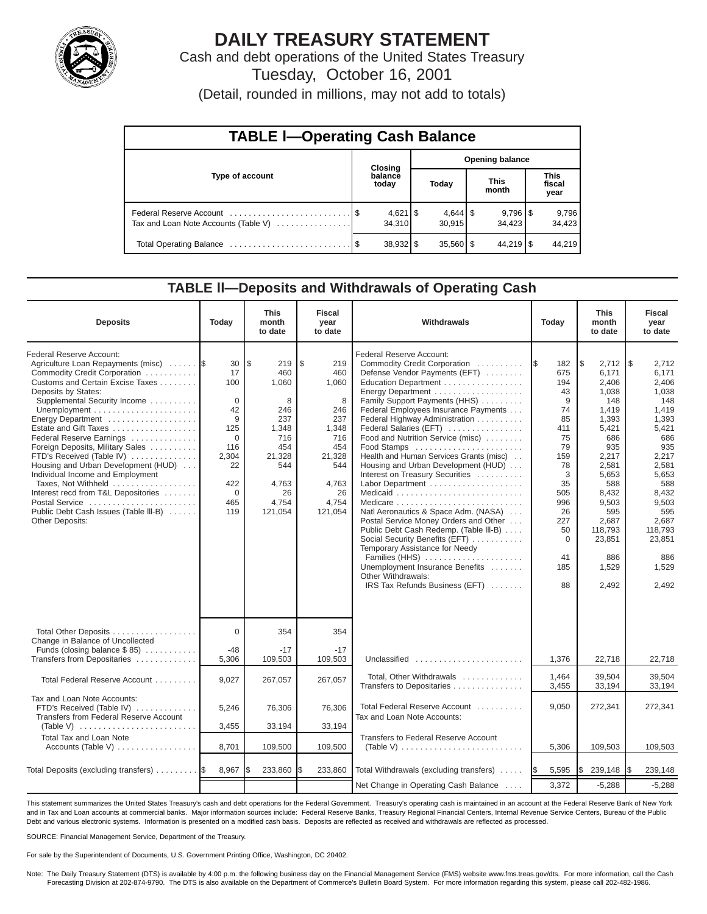

# **DAILY TREASURY STATEMENT**

Cash and debt operations of the United States Treasury Tuesday, October 16, 2001

(Detail, rounded in millions, may not add to totals)

| <b>TABLE I-Operating Cash Balance</b> |  |                  |                        |                              |  |                                 |  |                               |  |  |
|---------------------------------------|--|------------------|------------------------|------------------------------|--|---------------------------------|--|-------------------------------|--|--|
|                                       |  | <b>Closing</b>   | <b>Opening balance</b> |                              |  |                                 |  |                               |  |  |
| Type of account                       |  | balance<br>today |                        | Today                        |  | <b>This</b><br>month            |  | <b>This</b><br>fiscal<br>year |  |  |
| Tax and Loan Note Accounts (Table V)  |  | 34.310           |                        | $4,644$ $\sqrt{5}$<br>30.915 |  | $9,796$ $\frac{8}{3}$<br>34.423 |  | 9,796<br>34,423               |  |  |
|                                       |  |                  |                        | $35,560$ $\frac{8}{3}$       |  | $44.219$ S                      |  | 44,219                        |  |  |

### **TABLE ll—Deposits and Withdrawals of Operating Cash**

| <b>Deposits</b>                                                                                                                                                                                                                                                                                                                                                                                                                                                                                                                                             | Today                                                                                                                  | <b>This</b><br>month<br>to date                                                                                          | <b>Fiscal</b><br>year<br>to date                                                                                        | Withdrawals                                                                                                                                                                                                                                                                                                                                                                                                                                                                                                                                                                                                                                                                                                                                                                          | Today                                                                                                                                               | <b>This</b><br>month<br>to date                                                                                                                                                                          | <b>Fiscal</b><br>year<br>to date                                                                                                                                                                           |
|-------------------------------------------------------------------------------------------------------------------------------------------------------------------------------------------------------------------------------------------------------------------------------------------------------------------------------------------------------------------------------------------------------------------------------------------------------------------------------------------------------------------------------------------------------------|------------------------------------------------------------------------------------------------------------------------|--------------------------------------------------------------------------------------------------------------------------|-------------------------------------------------------------------------------------------------------------------------|--------------------------------------------------------------------------------------------------------------------------------------------------------------------------------------------------------------------------------------------------------------------------------------------------------------------------------------------------------------------------------------------------------------------------------------------------------------------------------------------------------------------------------------------------------------------------------------------------------------------------------------------------------------------------------------------------------------------------------------------------------------------------------------|-----------------------------------------------------------------------------------------------------------------------------------------------------|----------------------------------------------------------------------------------------------------------------------------------------------------------------------------------------------------------|------------------------------------------------------------------------------------------------------------------------------------------------------------------------------------------------------------|
| Federal Reserve Account:<br>Agriculture Loan Repayments (misc)<br>Commodity Credit Corporation<br>Customs and Certain Excise Taxes<br>Deposits by States:<br>Supplemental Security Income<br>Energy Department<br>Estate and Gift Taxes<br>Federal Reserve Earnings<br>Foreign Deposits, Military Sales<br>FTD's Received (Table IV)<br>Housing and Urban Development (HUD)<br>Individual Income and Employment<br>Taxes, Not Withheld<br>Interest recd from T&L Depositories<br>Postal Service<br>Public Debt Cash Issues (Table III-B)<br>Other Deposits: | 30<br>17<br>100<br>$\mathbf 0$<br>42<br>9<br>125<br>$\Omega$<br>116<br>2,304<br>22<br>422<br>$\mathbf 0$<br>465<br>119 | l\$<br>219<br>460<br>1,060<br>8<br>246<br>237<br>1,348<br>716<br>454<br>21,328<br>544<br>4,763<br>26<br>4,754<br>121,054 | \$<br>219<br>460<br>1,060<br>8<br>246<br>237<br>1,348<br>716<br>454<br>21,328<br>544<br>4,763<br>26<br>4,754<br>121,054 | Federal Reserve Account:<br>Commodity Credit Corporation<br>Defense Vendor Payments (EFT)<br>Education Department<br>Energy Department<br>Family Support Payments (HHS)<br>Federal Employees Insurance Payments<br>Federal Highway Administration<br>Federal Salaries (EFT)<br>Food and Nutrition Service (misc)<br>Food Stamps<br>Health and Human Services Grants (misc)<br>Housing and Urban Development (HUD)<br>Interest on Treasury Securities<br>Labor Department<br>Natl Aeronautics & Space Adm. (NASA)<br>Postal Service Money Orders and Other<br>Public Debt Cash Redemp. (Table III-B)<br>Social Security Benefits (EFT)<br>Temporary Assistance for Needy<br>Families (HHS)<br>Unemployment Insurance Benefits<br>Other Withdrawals:<br>IRS Tax Refunds Business (EFT) | I\$<br>182<br>675<br>194<br>43<br>9<br>74<br>85<br>411<br>75<br>79<br>159<br>78<br>3<br>35<br>505<br>996<br>26<br>227<br>50<br>0<br>41<br>185<br>88 | 2,712<br>\$<br>6.171<br>2,406<br>1,038<br>148<br>1,419<br>1,393<br>5,421<br>686<br>935<br>2,217<br>2,581<br>5,653<br>588<br>8,432<br>9,503<br>595<br>2,687<br>118,793<br>23,851<br>886<br>1,529<br>2,492 | l \$<br>2,712<br>6,171<br>2,406<br>1,038<br>148<br>1,419<br>1,393<br>5,421<br>686<br>935<br>2,217<br>2,581<br>5,653<br>588<br>8,432<br>9,503<br>595<br>2,687<br>118,793<br>23,851<br>886<br>1,529<br>2,492 |
| Total Other Deposits<br>Change in Balance of Uncollected<br>Funds (closing balance $$85$ )                                                                                                                                                                                                                                                                                                                                                                                                                                                                  | $\Omega$<br>$-48$                                                                                                      | 354<br>$-17$                                                                                                             | 354<br>$-17$                                                                                                            |                                                                                                                                                                                                                                                                                                                                                                                                                                                                                                                                                                                                                                                                                                                                                                                      |                                                                                                                                                     |                                                                                                                                                                                                          |                                                                                                                                                                                                            |
| Transfers from Depositaries<br>Total Federal Reserve Account                                                                                                                                                                                                                                                                                                                                                                                                                                                                                                | 5,306<br>9,027                                                                                                         | 109,503<br>267,057                                                                                                       | 109,503<br>267,057                                                                                                      | Unclassified<br>Total, Other Withdrawals<br>Transfers to Depositaries                                                                                                                                                                                                                                                                                                                                                                                                                                                                                                                                                                                                                                                                                                                | 1,376<br>1.464<br>3,455                                                                                                                             | 22,718<br>39.504<br>33,194                                                                                                                                                                               | 22,718<br>39.504<br>33,194                                                                                                                                                                                 |
| Tax and Loan Note Accounts:<br>FTD's Received (Table IV)<br>Transfers from Federal Reserve Account<br>(Table V)                                                                                                                                                                                                                                                                                                                                                                                                                                             | 5,246<br>3,455                                                                                                         | 76,306<br>33,194                                                                                                         | 76,306<br>33,194                                                                                                        | Total Federal Reserve Account<br>Tax and Loan Note Accounts:                                                                                                                                                                                                                                                                                                                                                                                                                                                                                                                                                                                                                                                                                                                         | 9,050                                                                                                                                               | 272,341                                                                                                                                                                                                  | 272,341                                                                                                                                                                                                    |
| <b>Total Tax and Loan Note</b><br>Accounts (Table V)                                                                                                                                                                                                                                                                                                                                                                                                                                                                                                        | 8,701                                                                                                                  | 109,500                                                                                                                  | 109,500                                                                                                                 | <b>Transfers to Federal Reserve Account</b><br>(Table V) $\ldots \ldots \ldots \ldots \ldots \ldots \ldots \ldots$                                                                                                                                                                                                                                                                                                                                                                                                                                                                                                                                                                                                                                                                   | 5,306                                                                                                                                               | 109,503                                                                                                                                                                                                  | 109,503                                                                                                                                                                                                    |
| Total Deposits (excluding transfers)                                                                                                                                                                                                                                                                                                                                                                                                                                                                                                                        | 8,967                                                                                                                  | 233,860                                                                                                                  | \$<br>233,860                                                                                                           | Total Withdrawals (excluding transfers)                                                                                                                                                                                                                                                                                                                                                                                                                                                                                                                                                                                                                                                                                                                                              | 5,595<br><b>IS</b>                                                                                                                                  | Ι\$<br>239,148                                                                                                                                                                                           | 239,148<br>I\$                                                                                                                                                                                             |
|                                                                                                                                                                                                                                                                                                                                                                                                                                                                                                                                                             |                                                                                                                        |                                                                                                                          |                                                                                                                         | Net Change in Operating Cash Balance                                                                                                                                                                                                                                                                                                                                                                                                                                                                                                                                                                                                                                                                                                                                                 | 3,372                                                                                                                                               | $-5,288$                                                                                                                                                                                                 | $-5,288$                                                                                                                                                                                                   |

This statement summarizes the United States Treasury's cash and debt operations for the Federal Government. Treasury's operating cash is maintained in an account at the Federal Reserve Bank of New York and in Tax and Loan accounts at commercial banks. Major information sources include: Federal Reserve Banks, Treasury Regional Financial Centers, Internal Revenue Service Centers, Bureau of the Public Debt and various electronic systems. Information is presented on a modified cash basis. Deposits are reflected as received and withdrawals are reflected as processed.

SOURCE: Financial Management Service, Department of the Treasury.

For sale by the Superintendent of Documents, U.S. Government Printing Office, Washington, DC 20402.

Note: The Daily Treasury Statement (DTS) is available by 4:00 p.m. the following business day on the Financial Management Service (FMS) website www.fms.treas.gov/dts. For more information, call the Cash Forecasting Division at 202-874-9790. The DTS is also available on the Department of Commerce's Bulletin Board System. For more information regarding this system, please call 202-482-1986.